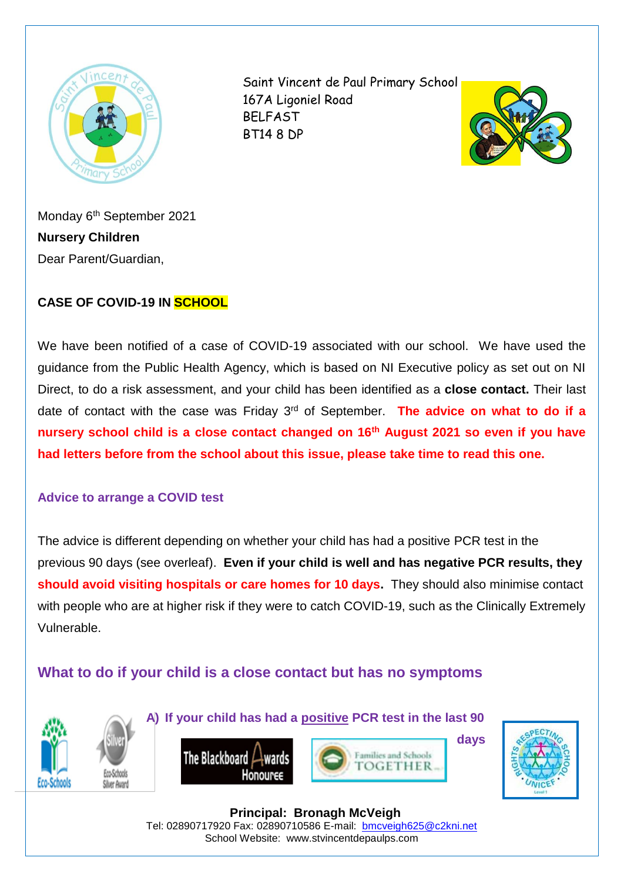

Saint Vincent de Paul Primary School 167A Ligoniel Road BELFAST BT14 8 DP



Monday 6<sup>th</sup> September 2021 **Nursery Children** Dear Parent/Guardian,

### **CASE OF COVID-19 IN SCHOOL**

We have been notified of a case of COVID-19 associated with our school. We have used the guidance from the Public Health Agency, which is based on NI Executive policy as set out on NI Direct, to do a risk assessment, and your child has been identified as a **close contact.** Their last date of contact with the case was Friday 3rd of September. **The advice on what to do if a nursery school child is a close contact changed on 16th August 2021 so even if you have had letters before from the school about this issue, please take time to read this one.**

#### **Advice to arrange a COVID test**

The advice is different depending on whether your child has had a positive PCR test in the previous 90 days (see overleaf). **Even if your child is well and has negative PCR results, they should avoid visiting hospitals or care homes for 10 days.** They should also minimise contact with people who are at higher risk if they were to catch COVID-19, such as the Clinically Extremely Vulnerable.

# **What to do if your child is a close contact but has no symptoms**



**A) If your child has had a positive PCR test in the last 90** 





**days**



 **Principal: Bronagh McVeigh** Tel: 02890717920 Fax: 02890710586 E-mail: [bmcveigh625@c2kni.net](mailto:bmcveigh625@c2kni.net) School Website: www.stvincentdepaulps.com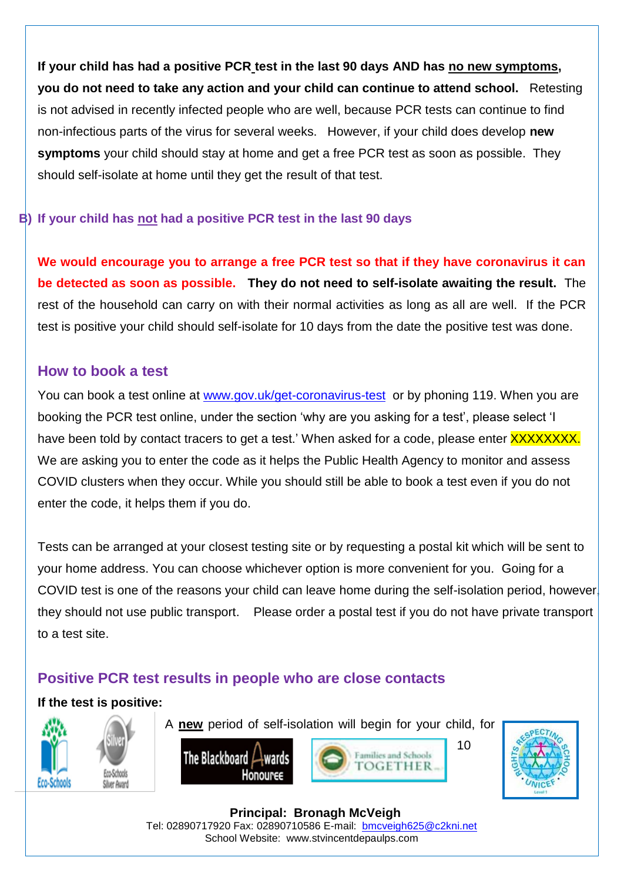**If your child has had a positive PCR test in the last 90 days AND has no new symptoms, you do not need to take any action and your child can continue to attend school.** Retesting is not advised in recently infected people who are well, because PCR tests can continue to find non-infectious parts of the virus for several weeks. However, if your child does develop **new symptoms** your child should stay at home and get a free PCR test as soon as possible. They should self-isolate at home until they get the result of that test.

#### **B) If your child has not had a positive PCR test in the last 90 days**

**We would encourage you to arrange a free PCR test so that if they have coronavirus it can be detected as soon as possible. They do not need to self-isolate awaiting the result.** The rest of the household can carry on with their normal activities as long as all are well. If the PCR test is positive your child should self-isolate for 10 days from the date the positive test was done.

### **How to book a test**

You can book a test online at [www.gov.uk/get-coronavirus-test](http://www.gov.uk/get-coronavirus-test) or by phoning 119. When you are booking the PCR test online, under the section 'why are you asking for a test', please select 'I have been told by contact tracers to get a test.' When asked for a code, please enter **XXXXXXXX.** We are asking you to enter the code as it helps the Public Health Agency to monitor and assess COVID clusters when they occur. While you should still be able to book a test even if you do not enter the code, it helps them if you do.

Tests can be arranged at your closest testing site or by requesting a postal kit which will be sent to your home address. You can choose whichever option is more convenient for you. Going for a COVID test is one of the reasons your child can leave home during the self-isolation period, however, they should not use public transport. Please order a postal test if you do not have private transport to a test site.

# **Positive PCR test results in people who are close contacts**

### **If the test is positive:**

Siluer Ause



A **new** period of self-isolation will begin for your child, for







 **Principal: Bronagh McVeigh** Tel: 02890717920 Fax: 02890710586 E-mail: [bmcveigh625@c2kni.net](mailto:bmcveigh625@c2kni.net) School Website: www.stvincentdepaulps.com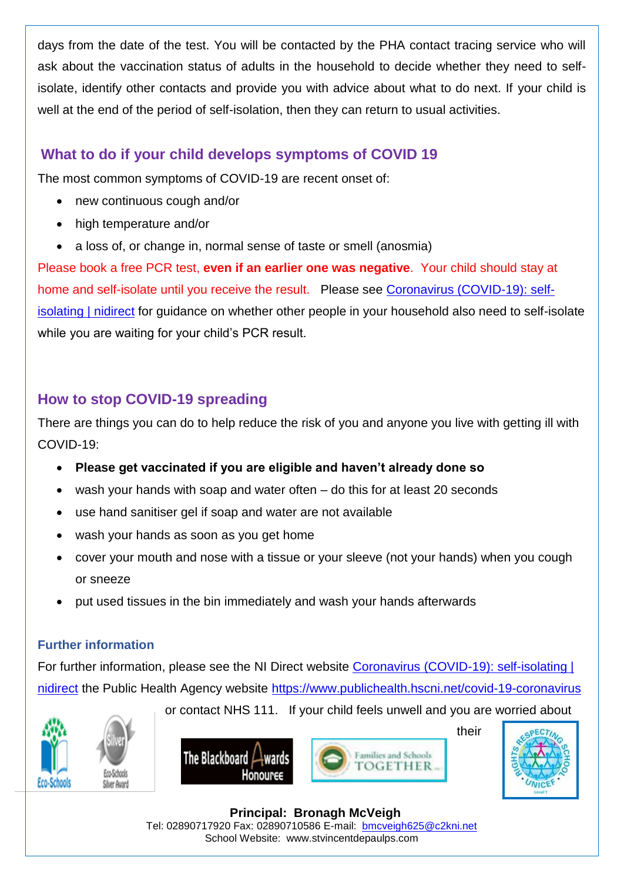days from the date of the test. You will be contacted by the PHA contact tracing service who will ask about the vaccination status of adults in the household to decide whether they need to selfisolate, identify other contacts and provide you with advice about what to do next. If your child is well at the end of the period of self-isolation, then they can return to usual activities.

# **What to do if your child develops symptoms of COVID 19**

The most common symptoms of COVID-19 are recent onset of:

- new continuous cough and/or
- high temperature and/or
- a loss of, or change in, normal sense of taste or smell (anosmia)

Please book a free PCR test, **even if an earlier one was negative**. Your child should stay at home and self-isolate until you receive the result. Please see [Coronavirus \(COVID-19\): self](https://www.nidirect.gov.uk/articles/coronavirus-covid-19-self-isolating)[isolating | nidirect](https://www.nidirect.gov.uk/articles/coronavirus-covid-19-self-isolating) for guidance on whether other people in your household also need to self-isolate while you are waiting for your child's PCR result.

# **How to stop COVID-19 spreading**

There are things you can do to help reduce the risk of you and anyone you live with getting ill with COVID-19:

- **Please get vaccinated if you are eligible and haven't already done so**
- wash your hands with soap and water often do this for at least 20 seconds
- use hand sanitiser gel if soap and water are not available
- wash your hands as soon as you get home
- cover your mouth and nose with a tissue or your sleeve (not your hands) when you cough or sneeze
- put used tissues in the bin immediately and wash your hands afterwards

### **Further information**

For further information, please see the NI Direct website [Coronavirus \(COVID-19\): self-isolating |](https://www.nidirect.gov.uk/articles/coronavirus-covid-19-self-isolating)  [nidirect](https://www.nidirect.gov.uk/articles/coronavirus-covid-19-self-isolating) the Public Health Agency website<https://www.publichealth.hscni.net/covid-19-coronavirus>



or contact NHS 111. If your child feels unwell and you are worried about



their



 **Principal: Bronagh McVeigh** Tel: 02890717920 Fax: 02890710586 E-mail: [bmcveigh625@c2kni.net](mailto:bmcveigh625@c2kni.net) School Website: www.stvincentdepaulps.com